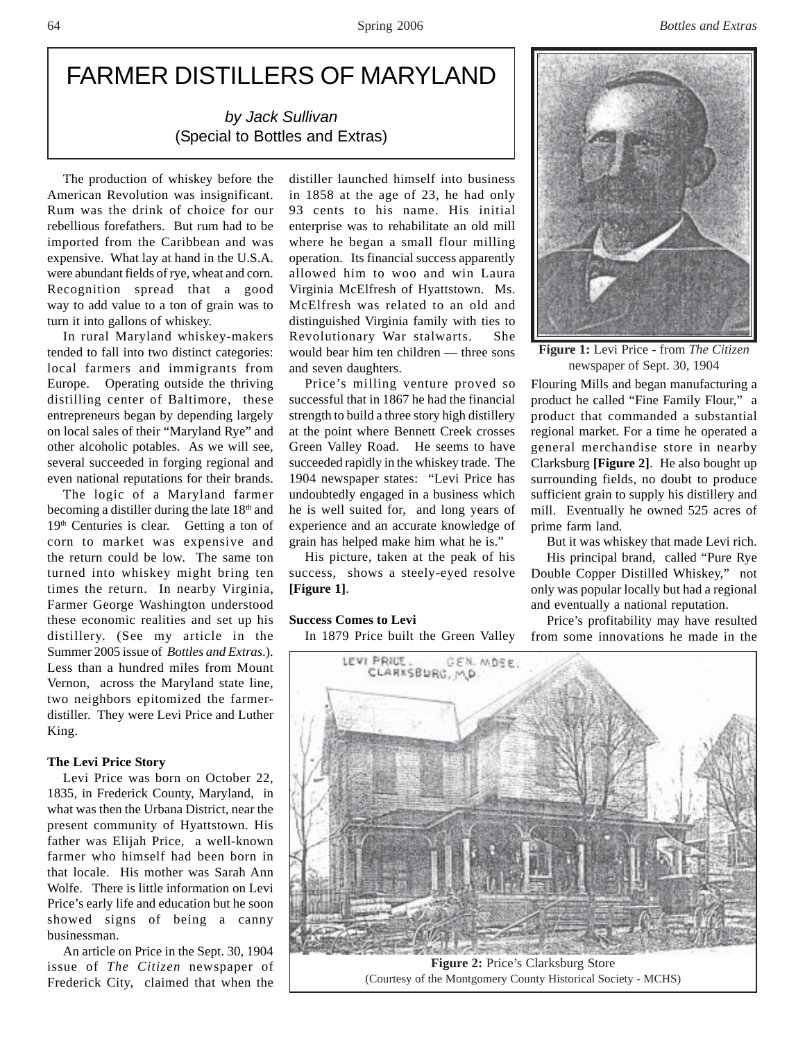# FARMER DISTILLERS OF MARYLAND

*by Jack Sullivan* (Special to Bottles and Extras)

The production of whiskey before the American Revolution was insignificant. Rum was the drink of choice for our rebellious forefathers. But rum had to be imported from the Caribbean and was expensive. What lay at hand in the U.S.A. were abundant fields of rye, wheat and corn. Recognition spread that a good way to add value to a ton of grain was to turn it into gallons of whiskey.

In rural Maryland whiskey-makers tended to fall into two distinct categories: local farmers and immigrants from Europe. Operating outside the thriving distilling center of Baltimore, these entrepreneurs began by depending largely on local sales of their "Maryland Rye" and other alcoholic potables. As we will see, several succeeded in forging regional and even national reputations for their brands.

The logic of a Maryland farmer becoming a distiller during the late 18th and 19<sup>th</sup> Centuries is clear. Getting a ton of corn to market was expensive and the return could be low. The same ton turned into whiskey might bring ten times the return. In nearby Virginia, Farmer George Washington understood these economic realities and set up his distillery. (See my article in the Summer 2005 issue of *Bottles and Extras*.). Less than a hundred miles from Mount Vernon, across the Maryland state line, two neighbors epitomized the farmerdistiller. They were Levi Price and Luther King.

#### **The Levi Price Story**

Levi Price was born on October 22, 1835, in Frederick County, Maryland, in what was then the Urbana District, near the present community of Hyattstown. His father was Elijah Price, a well-known farmer who himself had been born in that locale. His mother was Sarah Ann Wolfe. There is little information on Levi Price's early life and education but he soon showed signs of being a canny businessman.

An article on Price in the Sept. 30, 1904 issue of *The Citizen* newspaper of Frederick City, claimed that when the

distiller launched himself into business in 1858 at the age of 23, he had only 93 cents to his name. His initial enterprise was to rehabilitate an old mill where he began a small flour milling operation. Its financial success apparently allowed him to woo and win Laura Virginia McElfresh of Hyattstown. Ms. McElfresh was related to an old and distinguished Virginia family with ties to Revolutionary War stalwarts. She would bear him ten children — three sons and seven daughters.

Price's milling venture proved so successful that in 1867 he had the financial strength to build a three story high distillery at the point where Bennett Creek crosses Green Valley Road. He seems to have succeeded rapidly in the whiskey trade. The 1904 newspaper states: "Levi Price has undoubtedly engaged in a business which he is well suited for, and long years of experience and an accurate knowledge of grain has helped make him what he is."

His picture, taken at the peak of his success, shows a steely-eyed resolve **[Figure 1]**.

#### **Success Comes to Levi**

In 1879 Price built the Green Valley



**Figure 1:** Levi Price - from *The Citizen* newspaper of Sept. 30, 1904

Flouring Mills and began manufacturing a product he called "Fine Family Flour," a product that commanded a substantial regional market. For a time he operated a general merchandise store in nearby Clarksburg **[Figure 2]**. He also bought up surrounding fields, no doubt to produce sufficient grain to supply his distillery and mill. Eventually he owned 525 acres of prime farm land.

But it was whiskey that made Levi rich.

His principal brand, called "Pure Rye Double Copper Distilled Whiskey," not only was popular locally but had a regional and eventually a national reputation.

Price's profitability may have resulted from some innovations he made in the



(Courtesy of the Montgomery County Historical Society - MCHS)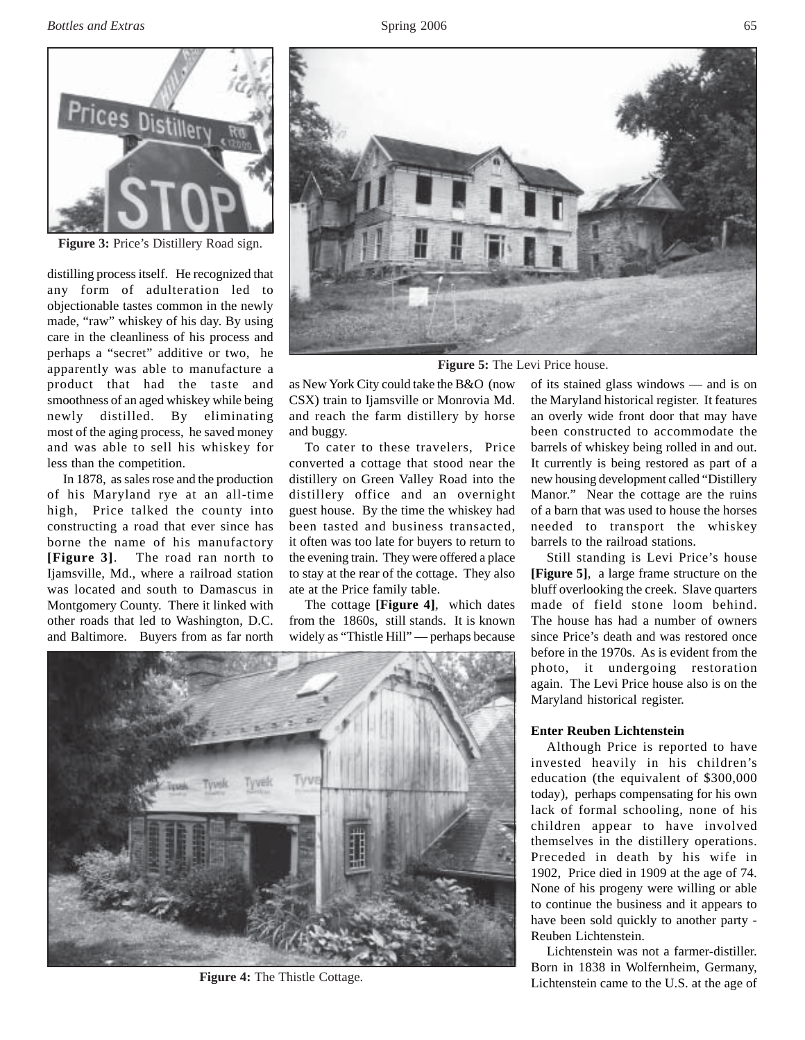*Bottles and Extras* 65



**Figure 3:** Price's Distillery Road sign.

distilling process itself. He recognized that any form of adulteration led to objectionable tastes common in the newly made, "raw" whiskey of his day. By using care in the cleanliness of his process and perhaps a "secret" additive or two, he apparently was able to manufacture a product that had the taste and smoothness of an aged whiskey while being newly distilled. By eliminating most of the aging process, he saved money and was able to sell his whiskey for less than the competition.

In 1878, as sales rose and the production of his Maryland rye at an all-time high, Price talked the county into constructing a road that ever since has borne the name of his manufactory **[Figure 3]**. The road ran north to Ijamsville, Md., where a railroad station was located and south to Damascus in Montgomery County. There it linked with other roads that led to Washington, D.C. and Baltimore. Buyers from as far north



**Figure 5:** The Levi Price house.

as New York City could take the B&O (now CSX) train to Ijamsville or Monrovia Md. and reach the farm distillery by horse and buggy.

To cater to these travelers, Price converted a cottage that stood near the distillery on Green Valley Road into the distillery office and an overnight guest house. By the time the whiskey had been tasted and business transacted, it often was too late for buyers to return to the evening train. They were offered a place to stay at the rear of the cottage. They also ate at the Price family table.

The cottage **[Figure 4]**, which dates from the 1860s, still stands. It is known widely as "Thistle Hill" — perhaps because

of its stained glass windows — and is on the Maryland historical register. It features an overly wide front door that may have been constructed to accommodate the barrels of whiskey being rolled in and out. It currently is being restored as part of a new housing development called "Distillery Manor." Near the cottage are the ruins of a barn that was used to house the horses needed to transport the whiskey barrels to the railroad stations.

Still standing is Levi Price's house **[Figure 5]**, a large frame structure on the bluff overlooking the creek. Slave quarters made of field stone loom behind. The house has had a number of owners since Price's death and was restored once before in the 1970s. As is evident from the photo, it undergoing restoration again. The Levi Price house also is on the Maryland historical register.

## **Enter Reuben Lichtenstein**

Although Price is reported to have invested heavily in his children's education (the equivalent of \$300,000 today), perhaps compensating for his own lack of formal schooling, none of his children appear to have involved themselves in the distillery operations. Preceded in death by his wife in 1902, Price died in 1909 at the age of 74. None of his progeny were willing or able to continue the business and it appears to have been sold quickly to another party - Reuben Lichtenstein.

Lichtenstein was not a farmer-distiller. Born in 1838 in Wolfernheim, Germany, Lichtenstein came to the U.S. at the age of



**Figure 4:** The Thistle Cottage.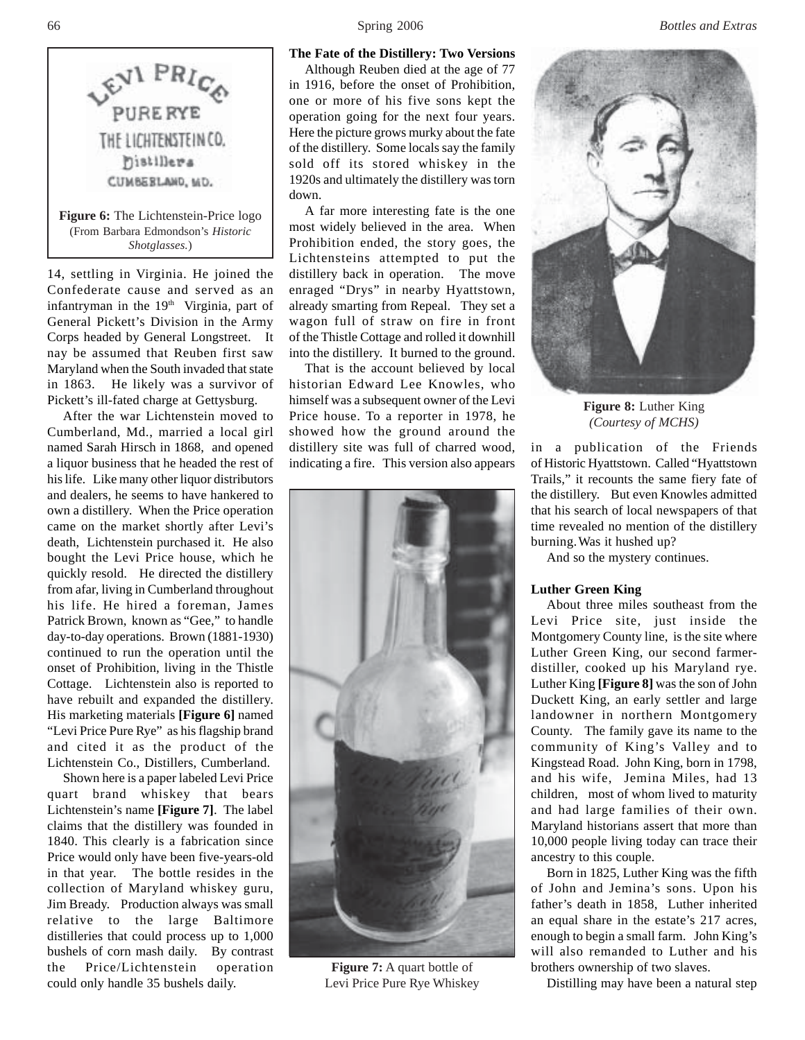

14, settling in Virginia. He joined the Confederate cause and served as an infantryman in the 19<sup>th</sup> Virginia, part of General Pickett's Division in the Army Corps headed by General Longstreet. It nay be assumed that Reuben first saw Maryland when the South invaded that state in 1863. He likely was a survivor of Pickett's ill-fated charge at Gettysburg.

After the war Lichtenstein moved to Cumberland, Md., married a local girl named Sarah Hirsch in 1868, and opened a liquor business that he headed the rest of his life. Like many other liquor distributors and dealers, he seems to have hankered to own a distillery. When the Price operation came on the market shortly after Levi's death, Lichtenstein purchased it. He also bought the Levi Price house, which he quickly resold. He directed the distillery from afar, living in Cumberland throughout his life. He hired a foreman, James Patrick Brown, known as "Gee," to handle day-to-day operations. Brown (1881-1930) continued to run the operation until the onset of Prohibition, living in the Thistle Cottage. Lichtenstein also is reported to have rebuilt and expanded the distillery. His marketing materials **[Figure 6]** named "Levi Price Pure Rye" as his flagship brand and cited it as the product of the Lichtenstein Co., Distillers, Cumberland.

Shown here is a paper labeled Levi Price quart brand whiskey that bears Lichtenstein's name **[Figure 7]**. The label claims that the distillery was founded in 1840. This clearly is a fabrication since Price would only have been five-years-old in that year. The bottle resides in the collection of Maryland whiskey guru, Jim Bready. Production always was small relative to the large Baltimore distilleries that could process up to 1,000 bushels of corn mash daily. By contrast the Price/Lichtenstein operation could only handle 35 bushels daily.

#### **The Fate of the Distillery: Two Versions**

Although Reuben died at the age of 77 in 1916, before the onset of Prohibition, one or more of his five sons kept the operation going for the next four years. Here the picture grows murky about the fate of the distillery. Some locals say the family sold off its stored whiskey in the 1920s and ultimately the distillery was torn down.

A far more interesting fate is the one most widely believed in the area. When Prohibition ended, the story goes, the Lichtensteins attempted to put the distillery back in operation. The move enraged "Drys" in nearby Hyattstown, already smarting from Repeal. They set a wagon full of straw on fire in front of the Thistle Cottage and rolled it downhill into the distillery. It burned to the ground.

That is the account believed by local historian Edward Lee Knowles, who himself was a subsequent owner of the Levi Price house. To a reporter in 1978, he showed how the ground around the distillery site was full of charred wood, indicating a fire. This version also appears



**Figure 7:** A quart bottle of Levi Price Pure Rye Whiskey



**Figure 8:** Luther King *(Courtesy of MCHS)*

in a publication of the Friends of Historic Hyattstown. Called "Hyattstown Trails," it recounts the same fiery fate of the distillery. But even Knowles admitted that his search of local newspapers of that time revealed no mention of the distillery burning.Was it hushed up?

And so the mystery continues.

#### **Luther Green King**

About three miles southeast from the Levi Price site, just inside the Montgomery County line, is the site where Luther Green King, our second farmerdistiller, cooked up his Maryland rye. Luther King **[Figure 8]** was the son of John Duckett King, an early settler and large landowner in northern Montgomery County. The family gave its name to the community of King's Valley and to Kingstead Road. John King, born in 1798, and his wife, Jemina Miles, had 13 children, most of whom lived to maturity and had large families of their own. Maryland historians assert that more than 10,000 people living today can trace their ancestry to this couple.

Born in 1825, Luther King was the fifth of John and Jemina's sons. Upon his father's death in 1858, Luther inherited an equal share in the estate's 217 acres, enough to begin a small farm. John King's will also remanded to Luther and his brothers ownership of two slaves.

Distilling may have been a natural step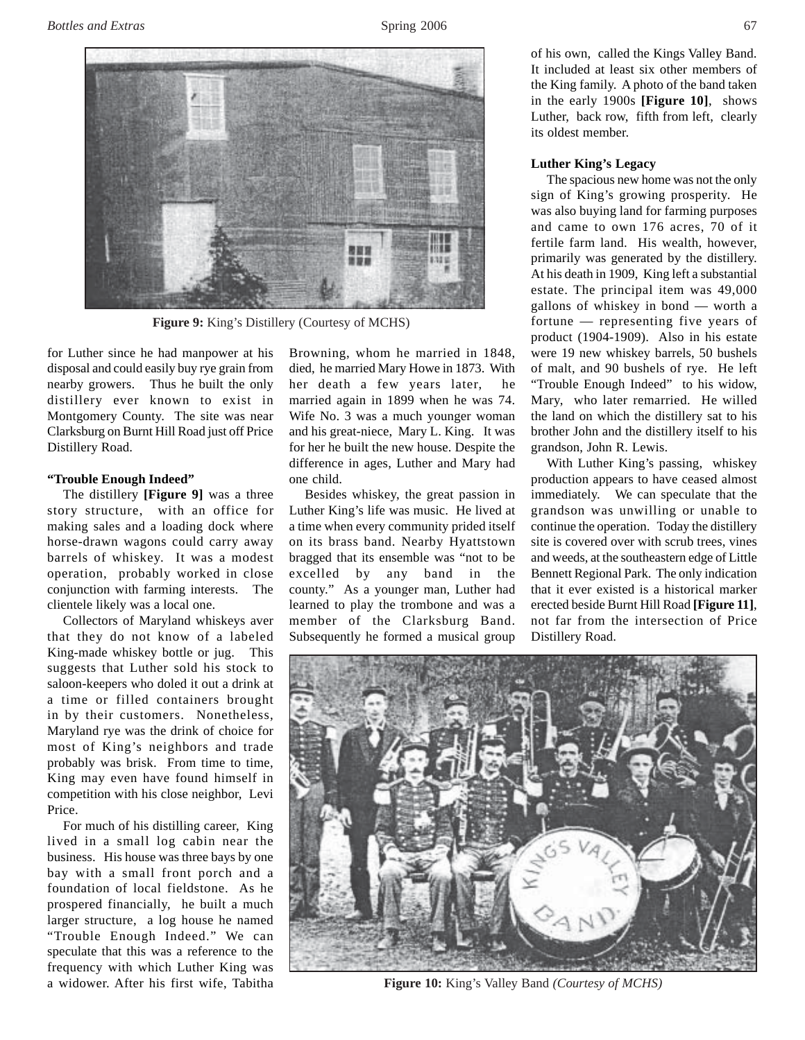

**Figure 9:** King's Distillery (Courtesy of MCHS)

for Luther since he had manpower at his disposal and could easily buy rye grain from nearby growers. Thus he built the only distillery ever known to exist in Montgomery County. The site was near Clarksburg on Burnt Hill Road just off Price Distillery Road.

## **"Trouble Enough Indeed"**

The distillery **[Figure 9]** was a three story structure, with an office for making sales and a loading dock where horse-drawn wagons could carry away barrels of whiskey. It was a modest operation, probably worked in close conjunction with farming interests. The clientele likely was a local one.

Collectors of Maryland whiskeys aver that they do not know of a labeled King-made whiskey bottle or jug. This suggests that Luther sold his stock to saloon-keepers who doled it out a drink at a time or filled containers brought in by their customers. Nonetheless, Maryland rye was the drink of choice for most of King's neighbors and trade probably was brisk. From time to time, King may even have found himself in competition with his close neighbor, Levi Price.

For much of his distilling career, King lived in a small log cabin near the business. His house was three bays by one bay with a small front porch and a foundation of local fieldstone. As he prospered financially, he built a much larger structure, a log house he named "Trouble Enough Indeed." We can speculate that this was a reference to the frequency with which Luther King was a widower. After his first wife, Tabitha Browning, whom he married in 1848, died, he married Mary Howe in 1873. With her death a few years later, he married again in 1899 when he was 74. Wife No. 3 was a much younger woman and his great-niece, Mary L. King. It was for her he built the new house. Despite the difference in ages, Luther and Mary had one child.

Besides whiskey, the great passion in Luther King's life was music. He lived at a time when every community prided itself on its brass band. Nearby Hyattstown bragged that its ensemble was "not to be excelled by any band in the county." As a younger man, Luther had learned to play the trombone and was a member of the Clarksburg Band. Subsequently he formed a musical group

of his own, called the Kings Valley Band. It included at least six other members of the King family. A photo of the band taken in the early 1900s **[Figure 10]**, shows Luther, back row, fifth from left, clearly its oldest member.

#### **Luther King's Legacy**

The spacious new home was not the only sign of King's growing prosperity. He was also buying land for farming purposes and came to own 176 acres, 70 of it fertile farm land. His wealth, however, primarily was generated by the distillery. At his death in 1909, King left a substantial estate. The principal item was 49,000 gallons of whiskey in bond — worth a fortune — representing five years of product (1904-1909). Also in his estate were 19 new whiskey barrels, 50 bushels of malt, and 90 bushels of rye. He left "Trouble Enough Indeed" to his widow, Mary, who later remarried. He willed the land on which the distillery sat to his brother John and the distillery itself to his grandson, John R. Lewis.

With Luther King's passing, whiskey production appears to have ceased almost immediately. We can speculate that the grandson was unwilling or unable to continue the operation. Today the distillery site is covered over with scrub trees, vines and weeds, at the southeastern edge of Little Bennett Regional Park. The only indication that it ever existed is a historical marker erected beside Burnt Hill Road **[Figure 11]**, not far from the intersection of Price Distillery Road.



**Figure 10:** King's Valley Band *(Courtesy of MCHS)*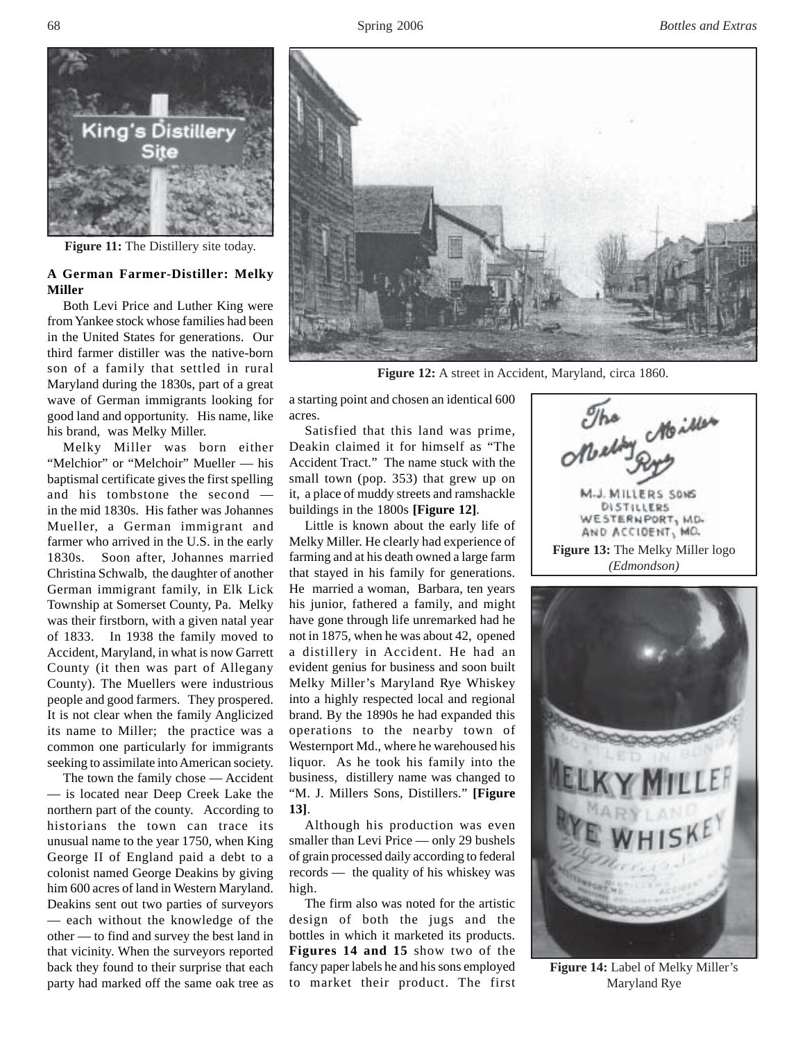

**Figure 11:** The Distillery site today.

# **A German Farmer-Distiller: Melky Miller**

Both Levi Price and Luther King were from Yankee stock whose families had been in the United States for generations. Our third farmer distiller was the native-born son of a family that settled in rural Maryland during the 1830s, part of a great wave of German immigrants looking for good land and opportunity. His name, like his brand, was Melky Miller.

Melky Miller was born either "Melchior" or "Melchoir" Mueller — his baptismal certificate gives the first spelling and his tombstone the second in the mid 1830s. His father was Johannes Mueller, a German immigrant and farmer who arrived in the U.S. in the early 1830s. Soon after, Johannes married Christina Schwalb, the daughter of another German immigrant family, in Elk Lick Township at Somerset County, Pa. Melky was their firstborn, with a given natal year of 1833. In 1938 the family moved to Accident, Maryland, in what is now Garrett County (it then was part of Allegany County). The Muellers were industrious people and good farmers. They prospered. It is not clear when the family Anglicized its name to Miller; the practice was a common one particularly for immigrants seeking to assimilate into American society.

The town the family chose — Accident — is located near Deep Creek Lake the northern part of the county. According to historians the town can trace its unusual name to the year 1750, when King George II of England paid a debt to a colonist named George Deakins by giving him 600 acres of land in Western Maryland. Deakins sent out two parties of surveyors — each without the knowledge of the other — to find and survey the best land in that vicinity. When the surveyors reported back they found to their surprise that each party had marked off the same oak tree as



**Figure 12:** A street in Accident, Maryland, circa 1860.

a starting point and chosen an identical 600 acres.

Satisfied that this land was prime, Deakin claimed it for himself as "The Accident Tract." The name stuck with the small town (pop. 353) that grew up on it, a place of muddy streets and ramshackle buildings in the 1800s **[Figure 12]**.

Little is known about the early life of Melky Miller. He clearly had experience of farming and at his death owned a large farm that stayed in his family for generations. He married a woman, Barbara, ten years his junior, fathered a family, and might have gone through life unremarked had he not in 1875, when he was about 42, opened a distillery in Accident. He had an evident genius for business and soon built Melky Miller's Maryland Rye Whiskey into a highly respected local and regional brand. By the 1890s he had expanded this operations to the nearby town of Westernport Md., where he warehoused his liquor. As he took his family into the business, distillery name was changed to "M. J. Millers Sons, Distillers." **[Figure 13]**.

Although his production was even smaller than Levi Price — only 29 bushels of grain processed daily according to federal records — the quality of his whiskey was high.

The firm also was noted for the artistic design of both the jugs and the bottles in which it marketed its products. **Figures 14 and 15** show two of the fancy paper labels he and his sons employed to market their product. The first

o Moiller J. MILLERS SONS DISTILLERS WESTERNPORT, MD. AND ACCIDENT, MO. **Figure 13:** The Melky Miller logo

*(Edmondson)*



**Figure 14:** Label of Melky Miller's Maryland Rye